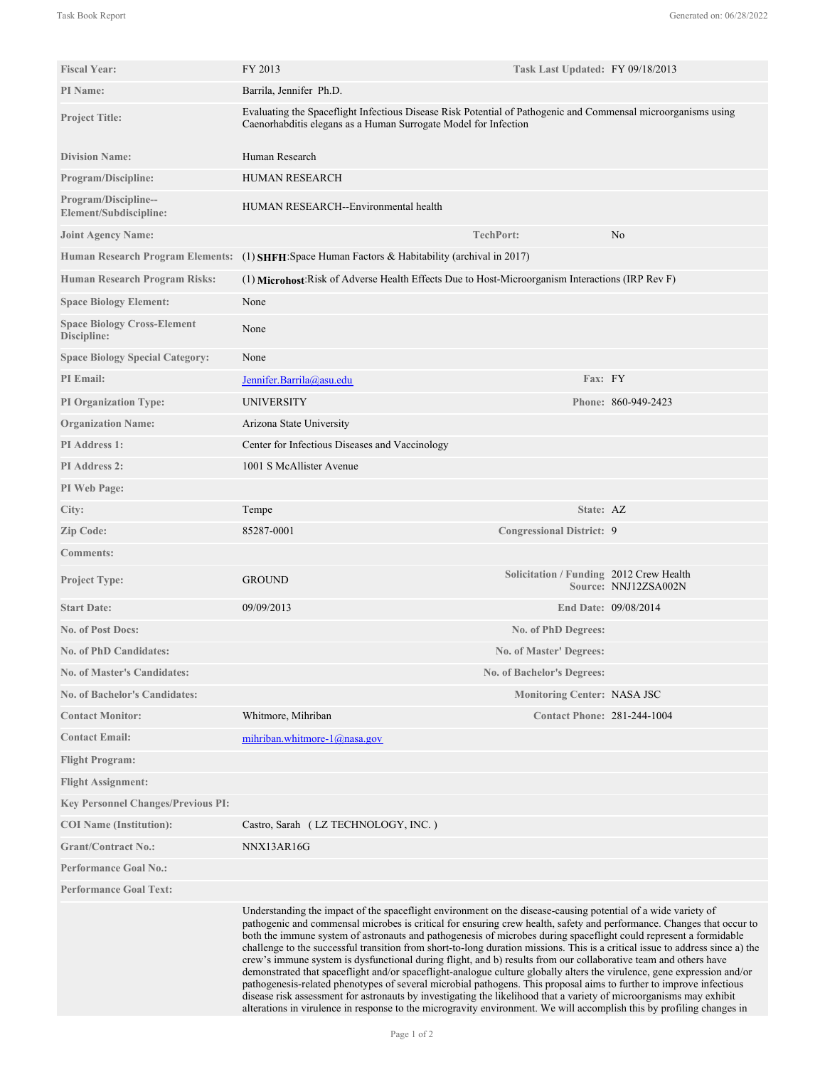| <b>Fiscal Year:</b>                               | FY 2013                                                                                                                                                                                                                                                                                                                                                                                                                                                                                                                                                                                                                                                                                                                                                                                                                                                                                                                                                                                                                                                                                                           | Task Last Updated: FY 09/18/2013        |                      |
|---------------------------------------------------|-------------------------------------------------------------------------------------------------------------------------------------------------------------------------------------------------------------------------------------------------------------------------------------------------------------------------------------------------------------------------------------------------------------------------------------------------------------------------------------------------------------------------------------------------------------------------------------------------------------------------------------------------------------------------------------------------------------------------------------------------------------------------------------------------------------------------------------------------------------------------------------------------------------------------------------------------------------------------------------------------------------------------------------------------------------------------------------------------------------------|-----------------------------------------|----------------------|
| PI Name:                                          | Barrila, Jennifer Ph.D.                                                                                                                                                                                                                                                                                                                                                                                                                                                                                                                                                                                                                                                                                                                                                                                                                                                                                                                                                                                                                                                                                           |                                         |                      |
| <b>Project Title:</b>                             | Evaluating the Spaceflight Infectious Disease Risk Potential of Pathogenic and Commensal microorganisms using<br>Caenorhabditis elegans as a Human Surrogate Model for Infection                                                                                                                                                                                                                                                                                                                                                                                                                                                                                                                                                                                                                                                                                                                                                                                                                                                                                                                                  |                                         |                      |
| <b>Division Name:</b>                             | Human Research                                                                                                                                                                                                                                                                                                                                                                                                                                                                                                                                                                                                                                                                                                                                                                                                                                                                                                                                                                                                                                                                                                    |                                         |                      |
| Program/Discipline:                               | <b>HUMAN RESEARCH</b>                                                                                                                                                                                                                                                                                                                                                                                                                                                                                                                                                                                                                                                                                                                                                                                                                                                                                                                                                                                                                                                                                             |                                         |                      |
| Program/Discipline--<br>Element/Subdiscipline:    | HUMAN RESEARCH--Environmental health                                                                                                                                                                                                                                                                                                                                                                                                                                                                                                                                                                                                                                                                                                                                                                                                                                                                                                                                                                                                                                                                              |                                         |                      |
| <b>Joint Agency Name:</b>                         |                                                                                                                                                                                                                                                                                                                                                                                                                                                                                                                                                                                                                                                                                                                                                                                                                                                                                                                                                                                                                                                                                                                   | <b>TechPort:</b>                        | No                   |
|                                                   | Human Research Program Elements: (1) SHFH: Space Human Factors & Habitability (archival in 2017)                                                                                                                                                                                                                                                                                                                                                                                                                                                                                                                                                                                                                                                                                                                                                                                                                                                                                                                                                                                                                  |                                         |                      |
| Human Research Program Risks:                     | (1) Microhost: Risk of Adverse Health Effects Due to Host-Microorganism Interactions (IRP Rev F)                                                                                                                                                                                                                                                                                                                                                                                                                                                                                                                                                                                                                                                                                                                                                                                                                                                                                                                                                                                                                  |                                         |                      |
| <b>Space Biology Element:</b>                     | None                                                                                                                                                                                                                                                                                                                                                                                                                                                                                                                                                                                                                                                                                                                                                                                                                                                                                                                                                                                                                                                                                                              |                                         |                      |
| <b>Space Biology Cross-Element</b><br>Discipline: | None                                                                                                                                                                                                                                                                                                                                                                                                                                                                                                                                                                                                                                                                                                                                                                                                                                                                                                                                                                                                                                                                                                              |                                         |                      |
| <b>Space Biology Special Category:</b>            | None                                                                                                                                                                                                                                                                                                                                                                                                                                                                                                                                                                                                                                                                                                                                                                                                                                                                                                                                                                                                                                                                                                              |                                         |                      |
| <b>PI</b> Email:                                  | Jennifer.Barrila@asu.edu                                                                                                                                                                                                                                                                                                                                                                                                                                                                                                                                                                                                                                                                                                                                                                                                                                                                                                                                                                                                                                                                                          | Fax: FY                                 |                      |
| <b>PI Organization Type:</b>                      | <b>UNIVERSITY</b>                                                                                                                                                                                                                                                                                                                                                                                                                                                                                                                                                                                                                                                                                                                                                                                                                                                                                                                                                                                                                                                                                                 |                                         | Phone: 860-949-2423  |
| <b>Organization Name:</b>                         | Arizona State University                                                                                                                                                                                                                                                                                                                                                                                                                                                                                                                                                                                                                                                                                                                                                                                                                                                                                                                                                                                                                                                                                          |                                         |                      |
| <b>PI</b> Address 1:                              | Center for Infectious Diseases and Vaccinology                                                                                                                                                                                                                                                                                                                                                                                                                                                                                                                                                                                                                                                                                                                                                                                                                                                                                                                                                                                                                                                                    |                                         |                      |
| <b>PI</b> Address 2:                              | 1001 S McAllister Avenue                                                                                                                                                                                                                                                                                                                                                                                                                                                                                                                                                                                                                                                                                                                                                                                                                                                                                                                                                                                                                                                                                          |                                         |                      |
| PI Web Page:                                      |                                                                                                                                                                                                                                                                                                                                                                                                                                                                                                                                                                                                                                                                                                                                                                                                                                                                                                                                                                                                                                                                                                                   |                                         |                      |
| City:                                             | Tempe                                                                                                                                                                                                                                                                                                                                                                                                                                                                                                                                                                                                                                                                                                                                                                                                                                                                                                                                                                                                                                                                                                             | State: AZ                               |                      |
| Zip Code:                                         | 85287-0001                                                                                                                                                                                                                                                                                                                                                                                                                                                                                                                                                                                                                                                                                                                                                                                                                                                                                                                                                                                                                                                                                                        | <b>Congressional District: 9</b>        |                      |
| <b>Comments:</b>                                  |                                                                                                                                                                                                                                                                                                                                                                                                                                                                                                                                                                                                                                                                                                                                                                                                                                                                                                                                                                                                                                                                                                                   |                                         |                      |
| <b>Project Type:</b>                              | <b>GROUND</b>                                                                                                                                                                                                                                                                                                                                                                                                                                                                                                                                                                                                                                                                                                                                                                                                                                                                                                                                                                                                                                                                                                     | Solicitation / Funding 2012 Crew Health | Source: NNJ12ZSA002N |
| <b>Start Date:</b>                                | 09/09/2013                                                                                                                                                                                                                                                                                                                                                                                                                                                                                                                                                                                                                                                                                                                                                                                                                                                                                                                                                                                                                                                                                                        |                                         | End Date: 09/08/2014 |
| <b>No. of Post Docs:</b>                          |                                                                                                                                                                                                                                                                                                                                                                                                                                                                                                                                                                                                                                                                                                                                                                                                                                                                                                                                                                                                                                                                                                                   | No. of PhD Degrees:                     |                      |
| <b>No. of PhD Candidates:</b>                     |                                                                                                                                                                                                                                                                                                                                                                                                                                                                                                                                                                                                                                                                                                                                                                                                                                                                                                                                                                                                                                                                                                                   | No. of Master' Degrees:                 |                      |
| <b>No. of Master's Candidates:</b>                |                                                                                                                                                                                                                                                                                                                                                                                                                                                                                                                                                                                                                                                                                                                                                                                                                                                                                                                                                                                                                                                                                                                   | <b>No. of Bachelor's Degrees:</b>       |                      |
| <b>No. of Bachelor's Candidates:</b>              |                                                                                                                                                                                                                                                                                                                                                                                                                                                                                                                                                                                                                                                                                                                                                                                                                                                                                                                                                                                                                                                                                                                   | <b>Monitoring Center: NASA JSC</b>      |                      |
| <b>Contact Monitor:</b>                           | Whitmore, Mihriban                                                                                                                                                                                                                                                                                                                                                                                                                                                                                                                                                                                                                                                                                                                                                                                                                                                                                                                                                                                                                                                                                                | <b>Contact Phone: 281-244-1004</b>      |                      |
| <b>Contact Email:</b>                             | mihriban.whitmore- $1$ @nasa.gov                                                                                                                                                                                                                                                                                                                                                                                                                                                                                                                                                                                                                                                                                                                                                                                                                                                                                                                                                                                                                                                                                  |                                         |                      |
| <b>Flight Program:</b>                            |                                                                                                                                                                                                                                                                                                                                                                                                                                                                                                                                                                                                                                                                                                                                                                                                                                                                                                                                                                                                                                                                                                                   |                                         |                      |
| <b>Flight Assignment:</b>                         |                                                                                                                                                                                                                                                                                                                                                                                                                                                                                                                                                                                                                                                                                                                                                                                                                                                                                                                                                                                                                                                                                                                   |                                         |                      |
| <b>Key Personnel Changes/Previous PI:</b>         |                                                                                                                                                                                                                                                                                                                                                                                                                                                                                                                                                                                                                                                                                                                                                                                                                                                                                                                                                                                                                                                                                                                   |                                         |                      |
| <b>COI</b> Name (Institution):                    | Castro, Sarah (LZ TECHNOLOGY, INC.)                                                                                                                                                                                                                                                                                                                                                                                                                                                                                                                                                                                                                                                                                                                                                                                                                                                                                                                                                                                                                                                                               |                                         |                      |
| <b>Grant/Contract No.:</b>                        | NNX13AR16G                                                                                                                                                                                                                                                                                                                                                                                                                                                                                                                                                                                                                                                                                                                                                                                                                                                                                                                                                                                                                                                                                                        |                                         |                      |
| <b>Performance Goal No.:</b>                      |                                                                                                                                                                                                                                                                                                                                                                                                                                                                                                                                                                                                                                                                                                                                                                                                                                                                                                                                                                                                                                                                                                                   |                                         |                      |
| <b>Performance Goal Text:</b>                     |                                                                                                                                                                                                                                                                                                                                                                                                                                                                                                                                                                                                                                                                                                                                                                                                                                                                                                                                                                                                                                                                                                                   |                                         |                      |
|                                                   | Understanding the impact of the spaceflight environment on the disease-causing potential of a wide variety of<br>pathogenic and commensal microbes is critical for ensuring crew health, safety and performance. Changes that occur to<br>both the immune system of astronauts and pathogenesis of microbes during spaceflight could represent a formidable<br>challenge to the successful transition from short-to-long duration missions. This is a critical issue to address since a) the<br>crew's immune system is dysfunctional during flight, and b) results from our collaborative team and others have<br>demonstrated that spaceflight and/or spaceflight-analogue culture globally alters the virulence, gene expression and/or<br>pathogenesis-related phenotypes of several microbial pathogens. This proposal aims to further to improve infectious<br>disease risk assessment for astronauts by investigating the likelihood that a variety of microorganisms may exhibit<br>alterations in virulence in response to the microgravity environment. We will accomplish this by profiling changes in |                                         |                      |